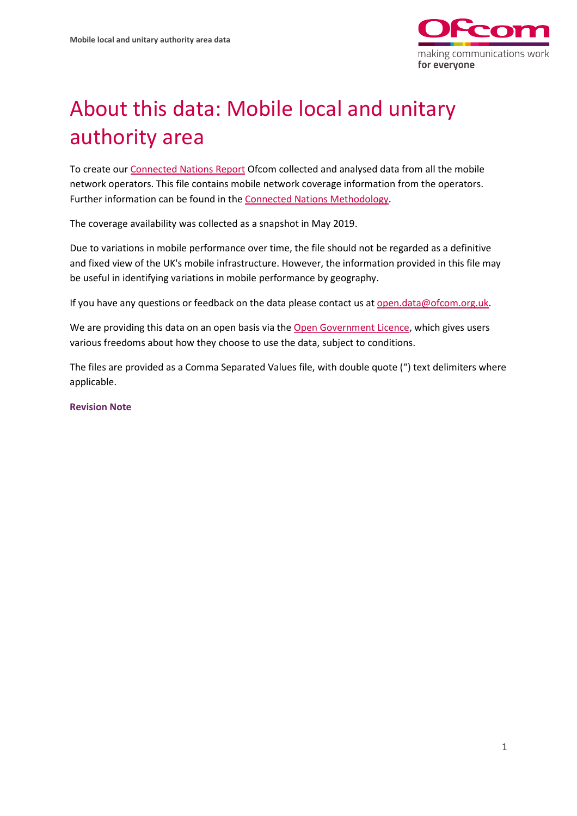

## About this data: Mobile local and unitary authority area

To create ou[r Connected Nations Report](https://www.ofcom.org.uk/research-and-data/multi-sector-research/infrastructure-research/connected-nations-update-summer-2019) Ofcom collected and analysed data from all the mobile network operators. This file contains mobile network coverage information from the operators. Further information can be found in th[e Connected Nations Methodology.](https://www.ofcom.org.uk/research-and-data/multi-sector-research/infrastructure-research/connected-nations-2018/methodology)

The coverage availability was collected as a snapshot in May 2019.

Due to variations in mobile performance over time, the file should not be regarded as a definitive and fixed view of the UK's mobile infrastructure. However, the information provided in this file may be useful in identifying variations in mobile performance by geography.

If you have any questions or feedback on the data please contact us at [open.data@ofcom.org.uk.](mailto:open.data@ofcom.org.uk)

We are providing this data on an open basis via the [Open Government Licence,](https://www.nationalarchives.gov.uk/doc/open-government-licence/version/3/) which gives users various freedoms about how they choose to use the data, subject to conditions.

The files are provided as a Comma Separated Values file, with double quote (") text delimiters where applicable.

**Revision Note**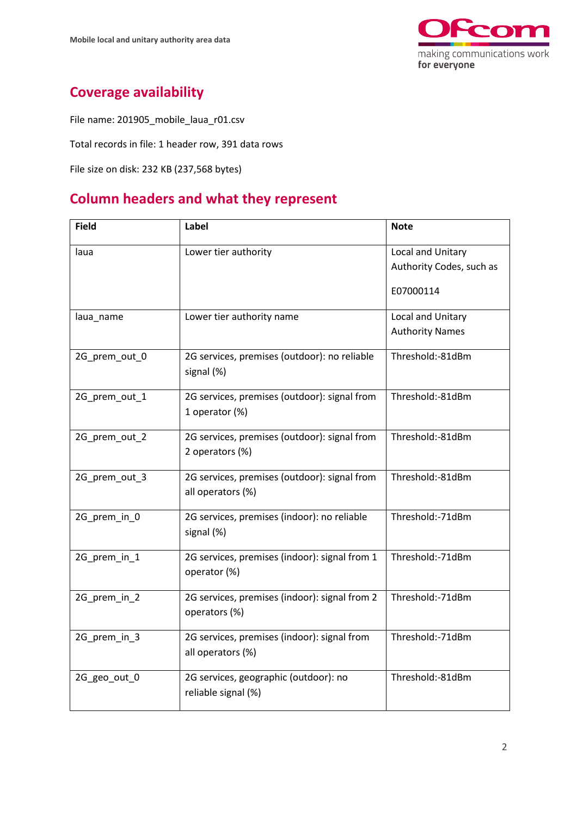

## **Coverage availability**

File name: 201905\_mobile\_laua\_r01.csv

Total records in file: 1 header row, 391 data rows

File size on disk: 232 KB (237,568 bytes)

## **Column headers and what they represent**

| <b>Field</b>  | Label                                                      | <b>Note</b>              |
|---------------|------------------------------------------------------------|--------------------------|
| laua          | Lower tier authority                                       | Local and Unitary        |
|               |                                                            | Authority Codes, such as |
|               |                                                            | E07000114                |
| laua_name     | Lower tier authority name                                  | Local and Unitary        |
|               |                                                            | <b>Authority Names</b>   |
| 2G_prem_out_0 | 2G services, premises (outdoor): no reliable<br>signal (%) | Threshold:-81dBm         |
|               |                                                            |                          |
| 2G_prem_out_1 | 2G services, premises (outdoor): signal from               | Threshold:-81dBm         |
|               | 1 operator (%)                                             |                          |
| 2G_prem_out_2 | 2G services, premises (outdoor): signal from               | Threshold:-81dBm         |
|               | 2 operators (%)                                            |                          |
| 2G_prem_out_3 | 2G services, premises (outdoor): signal from               | Threshold:-81dBm         |
|               | all operators (%)                                          |                          |
| 2G_prem_in_0  | 2G services, premises (indoor): no reliable                | Threshold:-71dBm         |
|               | signal (%)                                                 |                          |
| 2G_prem_in_1  | 2G services, premises (indoor): signal from 1              | Threshold:-71dBm         |
|               | operator (%)                                               |                          |
| 2G_prem_in_2  | 2G services, premises (indoor): signal from 2              | Threshold:-71dBm         |
|               | operators (%)                                              |                          |
| 2G_prem_in_3  | 2G services, premises (indoor): signal from                | Threshold:-71dBm         |
|               | all operators (%)                                          |                          |
| 2G_geo_out_0  | 2G services, geographic (outdoor): no                      | Threshold:-81dBm         |
|               | reliable signal (%)                                        |                          |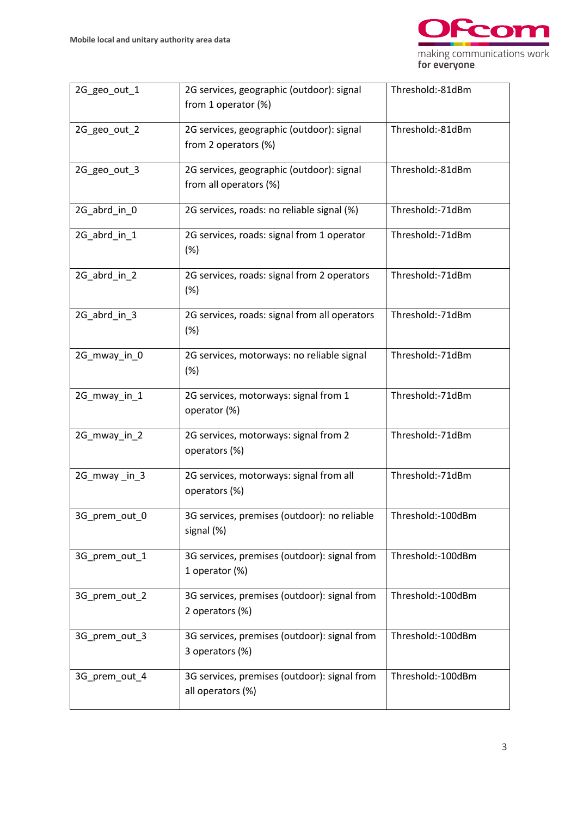

| 2G geo out 1  | 2G services, geographic (outdoor): signal<br>from 1 operator (%)                      | Threshold:-81dBm  |  |
|---------------|---------------------------------------------------------------------------------------|-------------------|--|
| 2G geo out 2  | Threshold:-81dBm<br>2G services, geographic (outdoor): signal<br>from 2 operators (%) |                   |  |
| 2G_geo_out_3  | 2G services, geographic (outdoor): signal<br>from all operators (%)                   | Threshold:-81dBm  |  |
| 2G_abrd_in_0  | 2G services, roads: no reliable signal (%)                                            | Threshold:-71dBm  |  |
| 2G_abrd_in_1  | 2G services, roads: signal from 1 operator<br>(%)                                     | Threshold:-71dBm  |  |
| 2G_abrd_in_2  | 2G services, roads: signal from 2 operators<br>(%)                                    | Threshold:-71dBm  |  |
| 2G_abrd_in_3  | 2G services, roads: signal from all operators<br>(%)                                  | Threshold:-71dBm  |  |
| 2G_mway_in_0  | 2G services, motorways: no reliable signal<br>(%)                                     | Threshold:-71dBm  |  |
| 2G_mway_in_1  | 2G services, motorways: signal from 1<br>operator (%)                                 | Threshold:-71dBm  |  |
| 2G_mway_in_2  | 2G services, motorways: signal from 2<br>operators (%)                                | Threshold:-71dBm  |  |
| 2G mway in 3  | 2G services, motorways: signal from all<br>operators (%)                              | Threshold:-71dBm  |  |
| 3G_prem_out_0 | 3G services, premises (outdoor): no reliable<br>signal (%)                            | Threshold:-100dBm |  |
| 3G_prem_out_1 | 3G services, premises (outdoor): signal from<br>1 operator (%)                        | Threshold:-100dBm |  |
| 3G prem out 2 | 3G services, premises (outdoor): signal from<br>2 operators (%)                       | Threshold:-100dBm |  |
| 3G_prem_out_3 | 3G services, premises (outdoor): signal from<br>3 operators (%)                       | Threshold:-100dBm |  |
| 3G_prem_out_4 | 3G services, premises (outdoor): signal from<br>all operators (%)                     | Threshold:-100dBm |  |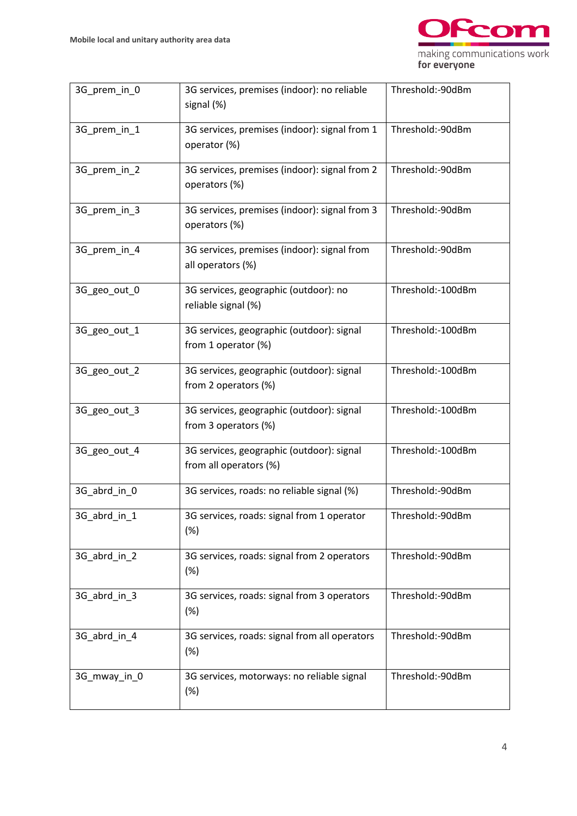

| 3G_prem_in_0 | 3G services, premises (indoor): no reliable<br>signal (%)                         | Threshold:-90dBm  |  |
|--------------|-----------------------------------------------------------------------------------|-------------------|--|
| 3G_prem_in_1 | Threshold:-90dBm<br>3G services, premises (indoor): signal from 1<br>operator (%) |                   |  |
| 3G_prem_in_2 | 3G services, premises (indoor): signal from 2<br>operators (%)                    | Threshold:-90dBm  |  |
| 3G_prem_in_3 | 3G services, premises (indoor): signal from 3<br>operators (%)                    | Threshold:-90dBm  |  |
| 3G_prem_in_4 | 3G services, premises (indoor): signal from<br>all operators (%)                  | Threshold:-90dBm  |  |
| 3G_geo_out_0 | 3G services, geographic (outdoor): no<br>reliable signal (%)                      | Threshold:-100dBm |  |
| 3G_geo_out_1 | 3G services, geographic (outdoor): signal<br>from 1 operator (%)                  | Threshold:-100dBm |  |
| 3G_geo_out_2 | 3G services, geographic (outdoor): signal<br>from 2 operators (%)                 | Threshold:-100dBm |  |
| 3G_geo_out_3 | 3G services, geographic (outdoor): signal<br>from 3 operators (%)                 | Threshold:-100dBm |  |
| 3G_geo_out_4 | 3G services, geographic (outdoor): signal<br>from all operators (%)               | Threshold:-100dBm |  |
| 3G_abrd_in_0 | 3G services, roads: no reliable signal (%)                                        | Threshold:-90dBm  |  |
| 3G_abrd_in_1 | 3G services, roads: signal from 1 operator<br>(%)                                 | Threshold:-90dBm  |  |
| 3G_abrd_in_2 | 3G services, roads: signal from 2 operators<br>(%)                                | Threshold:-90dBm  |  |
| 3G_abrd_in_3 | 3G services, roads: signal from 3 operators<br>(%)                                | Threshold:-90dBm  |  |
| 3G_abrd_in_4 | 3G services, roads: signal from all operators<br>(%)                              | Threshold:-90dBm  |  |
| 3G_mway_in_0 | 3G services, motorways: no reliable signal<br>(%)                                 | Threshold:-90dBm  |  |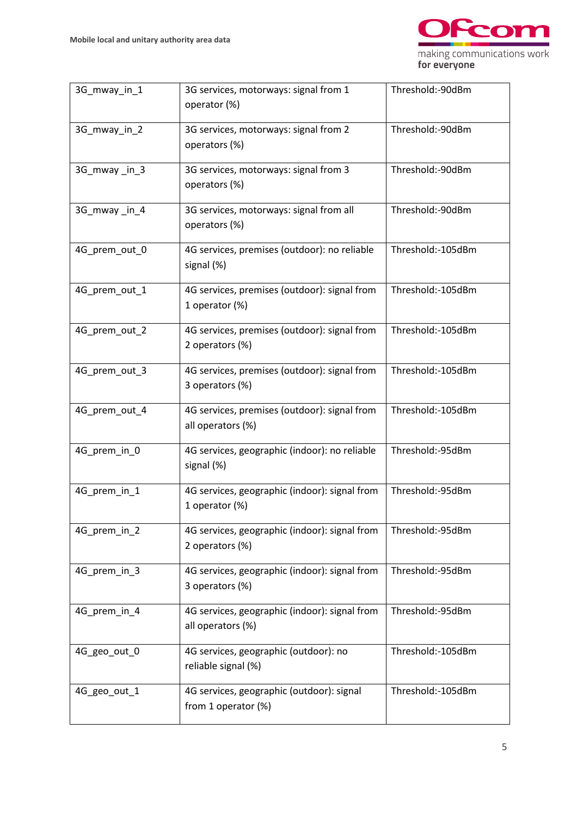

| 3G mway in 1  | 3G services, motorways: signal from 1<br>operator (%)              | Threshold:-90dBm  |  |
|---------------|--------------------------------------------------------------------|-------------------|--|
| 3G_mway_in_2  | 3G services, motorways: signal from 2<br>operators (%)             | Threshold:-90dBm  |  |
| 3G_mway_in_3  | 3G services, motorways: signal from 3<br>operators (%)             | Threshold:-90dBm  |  |
| 3G_mway_in_4  | 3G services, motorways: signal from all<br>operators (%)           | Threshold:-90dBm  |  |
| 4G_prem_out_0 | 4G services, premises (outdoor): no reliable<br>signal (%)         | Threshold:-105dBm |  |
| 4G_prem_out_1 | 4G services, premises (outdoor): signal from<br>1 operator (%)     | Threshold:-105dBm |  |
| 4G_prem_out_2 | 4G services, premises (outdoor): signal from<br>2 operators (%)    | Threshold:-105dBm |  |
| 4G_prem_out_3 | 4G services, premises (outdoor): signal from<br>3 operators (%)    | Threshold:-105dBm |  |
| 4G_prem_out_4 | 4G services, premises (outdoor): signal from<br>all operators (%)  | Threshold:-105dBm |  |
| 4G_prem_in_0  | 4G services, geographic (indoor): no reliable<br>signal (%)        | Threshold:-95dBm  |  |
| 4G_prem_in_1  | 4G services, geographic (indoor): signal from<br>1 operator (%)    | Threshold:-95dBm  |  |
| 4G_prem_in_2  | 4G services, geographic (indoor): signal from<br>2 operators (%)   | Threshold:-95dBm  |  |
| 4G_prem_in_3  | 4G services, geographic (indoor): signal from<br>3 operators (%)   | Threshold:-95dBm  |  |
| 4G_prem_in_4  | 4G services, geographic (indoor): signal from<br>all operators (%) | Threshold:-95dBm  |  |
| 4G_geo_out_0  | 4G services, geographic (outdoor): no<br>reliable signal (%)       | Threshold:-105dBm |  |
| 4G_geo_out_1  | 4G services, geographic (outdoor): signal<br>from 1 operator (%)   | Threshold:-105dBm |  |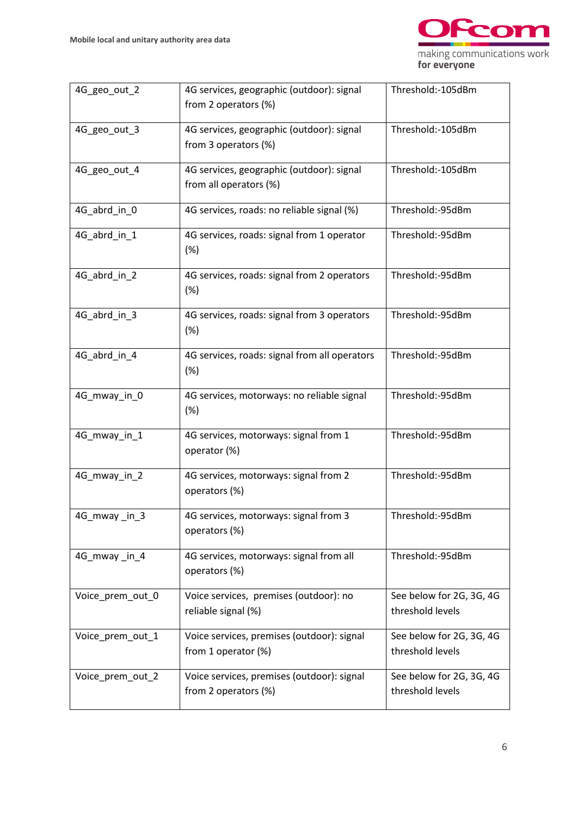

| 4G_geo_out_2     | 4G services, geographic (outdoor): signal<br>Threshold:-105dBm<br>from 2 operators (%) |                                              |  |
|------------------|----------------------------------------------------------------------------------------|----------------------------------------------|--|
| 4G_geo_out_3     | 4G services, geographic (outdoor): signal<br>from 3 operators (%)                      | Threshold:-105dBm                            |  |
| 4G_geo_out_4     | 4G services, geographic (outdoor): signal<br>from all operators (%)                    | Threshold:-105dBm                            |  |
| 4G_abrd_in_0     | 4G services, roads: no reliable signal (%)                                             | Threshold:-95dBm                             |  |
| 4G_abrd_in_1     | 4G services, roads: signal from 1 operator<br>(%)                                      | Threshold:-95dBm                             |  |
| 4G abrd in 2     | 4G services, roads: signal from 2 operators<br>(%)                                     | Threshold:-95dBm                             |  |
| 4G_abrd_in_3     | 4G services, roads: signal from 3 operators<br>(%)                                     | Threshold:-95dBm                             |  |
| 4G_abrd_in_4     | 4G services, roads: signal from all operators<br>(%)                                   | Threshold:-95dBm                             |  |
| 4G_mway_in_0     | 4G services, motorways: no reliable signal<br>(%)                                      | Threshold:-95dBm                             |  |
| 4G_mway_in_1     | 4G services, motorways: signal from 1<br>operator (%)                                  | Threshold:-95dBm                             |  |
| 4G_mway_in_2     | 4G services, motorways: signal from 2<br>operators (%)                                 | Threshold:-95dBm                             |  |
| 4G_mway_in_3     | 4G services, motorways: signal from 3<br>operators (%)                                 | Threshold:-95dBm                             |  |
| 4G mway in 4     | 4G services, motorways: signal from all<br>operators (%)                               | Threshold:-95dBm                             |  |
| Voice_prem_out_0 | Voice services, premises (outdoor): no<br>reliable signal (%)                          | See below for 2G, 3G, 4G<br>threshold levels |  |
| Voice_prem_out_1 | Voice services, premises (outdoor): signal<br>from 1 operator (%)                      | See below for 2G, 3G, 4G<br>threshold levels |  |
| Voice_prem_out_2 | Voice services, premises (outdoor): signal<br>from 2 operators (%)                     | See below for 2G, 3G, 4G<br>threshold levels |  |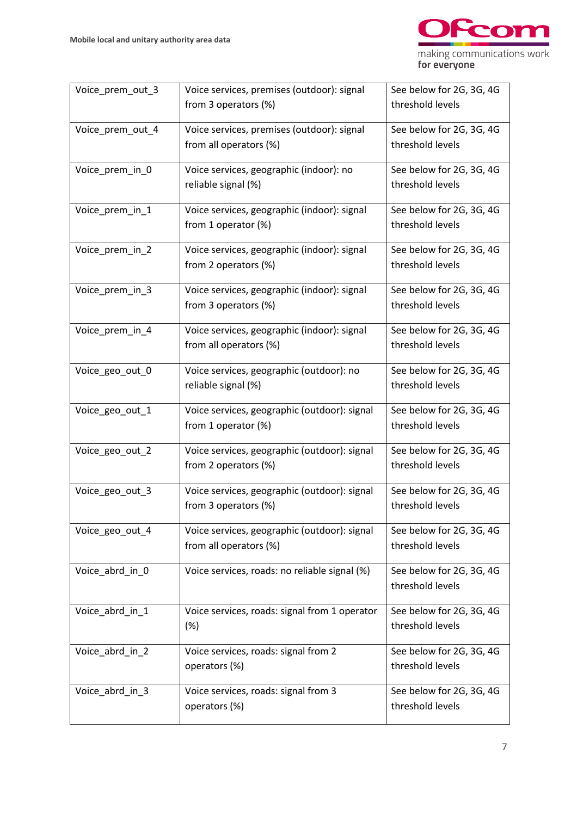

| Voice_prem_out_3 | Voice services, premises (outdoor): signal    | See below for 2G, 3G, 4G |
|------------------|-----------------------------------------------|--------------------------|
|                  | from 3 operators (%)                          | threshold levels         |
|                  |                                               |                          |
| Voice_prem_out_4 | Voice services, premises (outdoor): signal    | See below for 2G, 3G, 4G |
|                  |                                               |                          |
|                  | from all operators (%)                        | threshold levels         |
|                  |                                               |                          |
| Voice_prem_in_0  | Voice services, geographic (indoor): no       | See below for 2G, 3G, 4G |
|                  | reliable signal (%)                           | threshold levels         |
|                  |                                               |                          |
| Voice_prem_in_1  | Voice services, geographic (indoor): signal   | See below for 2G, 3G, 4G |
|                  |                                               | threshold levels         |
|                  | from 1 operator (%)                           |                          |
|                  |                                               |                          |
| Voice_prem_in_2  | Voice services, geographic (indoor): signal   | See below for 2G, 3G, 4G |
|                  | from 2 operators (%)                          | threshold levels         |
|                  |                                               |                          |
| Voice_prem_in_3  | Voice services, geographic (indoor): signal   | See below for 2G, 3G, 4G |
|                  | from 3 operators (%)                          | threshold levels         |
|                  |                                               |                          |
| Voice_prem_in_4  | Voice services, geographic (indoor): signal   | See below for 2G, 3G, 4G |
|                  |                                               |                          |
|                  | from all operators (%)                        | threshold levels         |
|                  |                                               |                          |
| Voice_geo_out_0  | Voice services, geographic (outdoor): no      | See below for 2G, 3G, 4G |
|                  | reliable signal (%)                           | threshold levels         |
|                  |                                               |                          |
| Voice_geo_out_1  | Voice services, geographic (outdoor): signal  | See below for 2G, 3G, 4G |
|                  | from 1 operator (%)                           | threshold levels         |
|                  |                                               |                          |
| Voice_geo_out_2  | Voice services, geographic (outdoor): signal  | See below for 2G, 3G, 4G |
|                  |                                               |                          |
|                  | from 2 operators (%)                          | threshold levels         |
|                  |                                               |                          |
| Voice_geo_out_3  | Voice services, geographic (outdoor): signal  | See below for 2G, 3G, 4G |
|                  | from 3 operators (%)                          | threshold levels         |
|                  |                                               |                          |
| Voice_geo_out_4  | Voice services, geographic (outdoor): signal  | See below for 2G, 3G, 4G |
|                  | from all operators (%)                        | threshold levels         |
|                  |                                               |                          |
| Voice_abrd_in_0  | Voice services, roads: no reliable signal (%) | See below for 2G, 3G, 4G |
|                  |                                               |                          |
|                  |                                               | threshold levels         |
|                  |                                               |                          |
| Voice_abrd_in_1  | Voice services, roads: signal from 1 operator | See below for 2G, 3G, 4G |
|                  | (%)                                           | threshold levels         |
|                  |                                               |                          |
| Voice_abrd_in_2  | Voice services, roads: signal from 2          | See below for 2G, 3G, 4G |
|                  | operators (%)                                 | threshold levels         |
|                  |                                               |                          |
| Voice_abrd_in_3  | Voice services, roads: signal from 3          | See below for 2G, 3G, 4G |
|                  |                                               |                          |
|                  | operators (%)                                 | threshold levels         |
|                  |                                               |                          |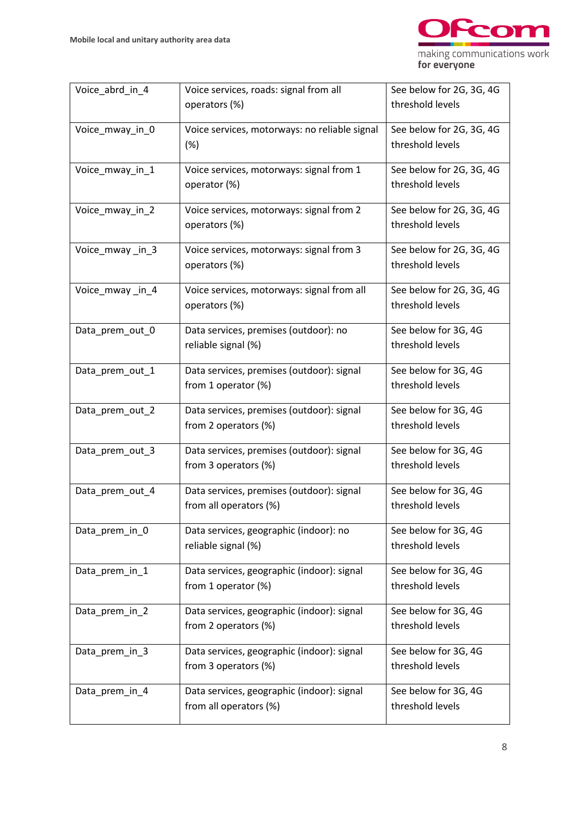

| Voice abrd in 4 | Voice services, roads: signal from all        | See below for 2G, 3G, 4G |
|-----------------|-----------------------------------------------|--------------------------|
|                 | operators (%)                                 | threshold levels         |
|                 |                                               |                          |
|                 |                                               |                          |
| Voice_mway_in_0 | Voice services, motorways: no reliable signal | See below for 2G, 3G, 4G |
|                 | (%)                                           | threshold levels         |
|                 |                                               |                          |
| Voice_mway_in_1 | Voice services, motorways: signal from 1      | See below for 2G, 3G, 4G |
|                 |                                               |                          |
|                 | operator (%)                                  | threshold levels         |
|                 |                                               |                          |
| Voice_mway_in_2 | Voice services, motorways: signal from 2      | See below for 2G, 3G, 4G |
|                 |                                               |                          |
|                 | operators (%)                                 | threshold levels         |
|                 |                                               |                          |
| Voice_mway_in_3 | Voice services, motorways: signal from 3      | See below for 2G, 3G, 4G |
|                 |                                               | threshold levels         |
|                 | operators (%)                                 |                          |
|                 |                                               |                          |
| Voice_mway_in_4 | Voice services, motorways: signal from all    | See below for 2G, 3G, 4G |
|                 | operators (%)                                 | threshold levels         |
|                 |                                               |                          |
|                 |                                               |                          |
| Data_prem_out_0 | Data services, premises (outdoor): no         | See below for 3G, 4G     |
|                 | reliable signal (%)                           | threshold levels         |
|                 |                                               |                          |
|                 |                                               | See below for 3G, 4G     |
| Data_prem_out_1 | Data services, premises (outdoor): signal     |                          |
|                 | from 1 operator (%)                           | threshold levels         |
|                 |                                               |                          |
| Data_prem_out_2 | Data services, premises (outdoor): signal     | See below for 3G, 4G     |
|                 |                                               |                          |
|                 | from 2 operators (%)                          | threshold levels         |
|                 |                                               |                          |
| Data_prem_out_3 | Data services, premises (outdoor): signal     | See below for 3G, 4G     |
|                 | from 3 operators (%)                          | threshold levels         |
|                 |                                               |                          |
|                 |                                               |                          |
| Data_prem_out_4 | Data services, premises (outdoor): signal     | See below for 3G, 4G     |
|                 | from all operators (%)                        | threshold levels         |
|                 |                                               |                          |
| Data_prem_in_0  | Data services, geographic (indoor): no        | See below for 3G, 4G     |
|                 |                                               |                          |
|                 | reliable signal (%)                           | threshold levels         |
|                 |                                               |                          |
| Data prem in 1  | Data services, geographic (indoor): signal    | See below for 3G, 4G     |
|                 |                                               |                          |
|                 | from 1 operator $(\%)$                        | threshold levels         |
|                 |                                               |                          |
| Data_prem_in_2  | Data services, geographic (indoor): signal    | See below for 3G, 4G     |
|                 | from 2 operators (%)                          | threshold levels         |
|                 |                                               |                          |
|                 |                                               |                          |
| Data_prem_in_3  | Data services, geographic (indoor): signal    | See below for 3G, 4G     |
|                 | from 3 operators (%)                          | threshold levels         |
|                 |                                               |                          |
|                 |                                               |                          |
| Data_prem_in_4  | Data services, geographic (indoor): signal    | See below for 3G, 4G     |
|                 | from all operators (%)                        | threshold levels         |
|                 |                                               |                          |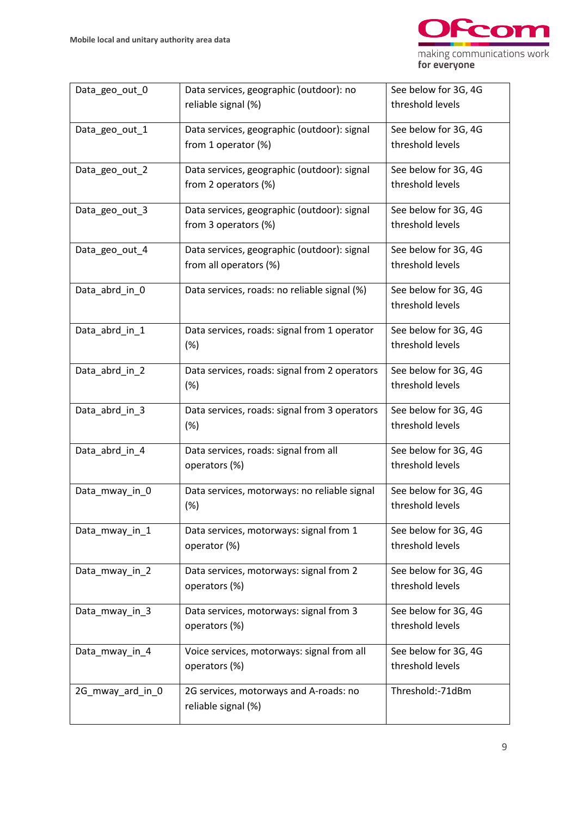

| Data_geo_out_0   | Data services, geographic (outdoor): no       | See below for 3G, 4G |
|------------------|-----------------------------------------------|----------------------|
|                  | reliable signal (%)                           | threshold levels     |
| Data_geo_out_1   | Data services, geographic (outdoor): signal   | See below for 3G, 4G |
|                  | from 1 operator (%)                           | threshold levels     |
| Data_geo_out_2   | Data services, geographic (outdoor): signal   | See below for 3G, 4G |
|                  | from 2 operators (%)                          | threshold levels     |
| Data_geo_out_3   | Data services, geographic (outdoor): signal   | See below for 3G, 4G |
|                  | from 3 operators (%)                          | threshold levels     |
| Data_geo_out_4   | Data services, geographic (outdoor): signal   | See below for 3G, 4G |
|                  | from all operators (%)                        | threshold levels     |
| Data_abrd_in_0   | Data services, roads: no reliable signal (%)  | See below for 3G, 4G |
|                  |                                               | threshold levels     |
| Data_abrd_in_1   | Data services, roads: signal from 1 operator  | See below for 3G, 4G |
|                  | (%)                                           | threshold levels     |
| Data_abrd_in_2   | Data services, roads: signal from 2 operators | See below for 3G, 4G |
|                  | (%)                                           | threshold levels     |
| Data_abrd_in_3   | Data services, roads: signal from 3 operators | See below for 3G, 4G |
|                  | (%)                                           | threshold levels     |
| Data_abrd_in_4   | Data services, roads: signal from all         | See below for 3G, 4G |
|                  | operators (%)                                 | threshold levels     |
| Data_mway_in_0   | Data services, motorways: no reliable signal  | See below for 3G, 4G |
|                  | (%)                                           | threshold levels     |
| Data_mway_in_1   | Data services, motorways: signal from 1       | See below for 3G, 4G |
|                  | operator (%)                                  | threshold levels     |
| Data_mway_in_2   | Data services, motorways: signal from 2       | See below for 3G, 4G |
|                  | operators (%)                                 | threshold levels     |
| Data_mway_in_3   | Data services, motorways: signal from 3       | See below for 3G, 4G |
|                  | operators (%)                                 | threshold levels     |
| Data_mway_in_4   | Voice services, motorways: signal from all    | See below for 3G, 4G |
|                  | operators (%)                                 | threshold levels     |
| 2G_mway_ard_in_0 | 2G services, motorways and A-roads: no        | Threshold:-71dBm     |
|                  | reliable signal (%)                           |                      |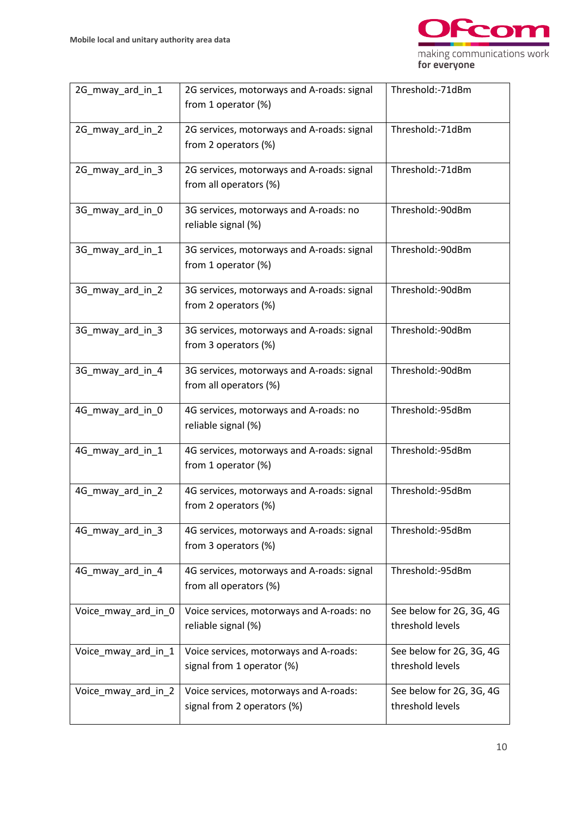

| 2G_mway_ard_in_1    | 2G services, motorways and A-roads: signal<br>from 1 operator (%)     | Threshold:-71dBm                             |
|---------------------|-----------------------------------------------------------------------|----------------------------------------------|
| 2G_mway_ard_in_2    | 2G services, motorways and A-roads: signal<br>from 2 operators (%)    | Threshold:-71dBm                             |
| 2G_mway_ard_in_3    | 2G services, motorways and A-roads: signal<br>from all operators (%)  | Threshold:-71dBm                             |
| 3G_mway_ard_in_0    | 3G services, motorways and A-roads: no<br>reliable signal (%)         | Threshold:-90dBm                             |
| 3G_mway_ard_in_1    | 3G services, motorways and A-roads: signal<br>from 1 operator (%)     | Threshold:-90dBm                             |
| 3G_mway_ard_in_2    | 3G services, motorways and A-roads: signal<br>from 2 operators (%)    | Threshold:-90dBm                             |
| 3G_mway_ard_in_3    | 3G services, motorways and A-roads: signal<br>from 3 operators (%)    | Threshold:-90dBm                             |
| 3G_mway_ard_in_4    | 3G services, motorways and A-roads: signal<br>from all operators (%)  | Threshold:-90dBm                             |
| 4G_mway_ard_in_0    | 4G services, motorways and A-roads: no<br>reliable signal (%)         | Threshold:-95dBm                             |
| 4G_mway_ard_in_1    | 4G services, motorways and A-roads: signal<br>from 1 operator (%)     | Threshold:-95dBm                             |
| 4G_mway_ard_in_2    | 4G services, motorways and A-roads: signal<br>from 2 operators (%)    | Threshold:-95dBm                             |
| 4G_mway_ard_in_3    | 4G services, motorways and A-roads: signal<br>from 3 operators (%)    | Threshold:-95dBm                             |
| 4G_mway_ard_in_4    | 4G services, motorways and A-roads: signal<br>from all operators (%)  | Threshold:-95dBm                             |
| Voice_mway_ard_in_0 | Voice services, motorways and A-roads: no<br>reliable signal (%)      | See below for 2G, 3G, 4G<br>threshold levels |
| Voice_mway_ard_in_1 | Voice services, motorways and A-roads:<br>signal from 1 operator (%)  | See below for 2G, 3G, 4G<br>threshold levels |
| Voice_mway_ard_in_2 | Voice services, motorways and A-roads:<br>signal from 2 operators (%) | See below for 2G, 3G, 4G<br>threshold levels |